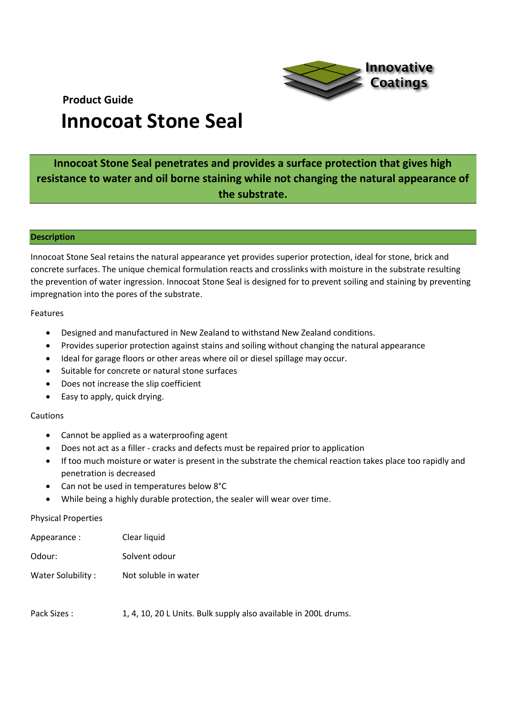

## **Innocoat Stone Seal penetrates and provides a surface protection that gives high resistance to water and oil borne staining while not changing the natural appearance of the substrate.**

## **Description**

Innocoat Stone Seal retains the natural appearance yet provides superior protection, ideal for stone, brick and concrete surfaces. The unique chemical formulation reacts and crosslinks with moisture in the substrate resulting the prevention of water ingression. Innocoat Stone Seal is designed for to prevent soiling and staining by preventing impregnation into the pores of the substrate.

## Features

- Designed and manufactured in New Zealand to withstand New Zealand conditions.
- Provides superior protection against stains and soiling without changing the natural appearance
- Ideal for garage floors or other areas where oil or diesel spillage may occur.
- Suitable for concrete or natural stone surfaces
- Does not increase the slip coefficient
- Easy to apply, quick drying.

## Cautions

- Cannot be applied as a waterproofing agent
- Does not act as a filler cracks and defects must be repaired prior to application
- If too much moisture or water is present in the substrate the chemical reaction takes place too rapidly and penetration is decreased
- Can not be used in temperatures below 8°C
- While being a highly durable protection, the sealer will wear over time.

## Physical Properties

| Appearance :      | Clear liquid         |
|-------------------|----------------------|
| Odour:            | Solvent odour        |
| Water Solubility: | Not soluble in water |

Pack Sizes : 1, 4, 10, 20 L Units. Bulk supply also available in 200L drums.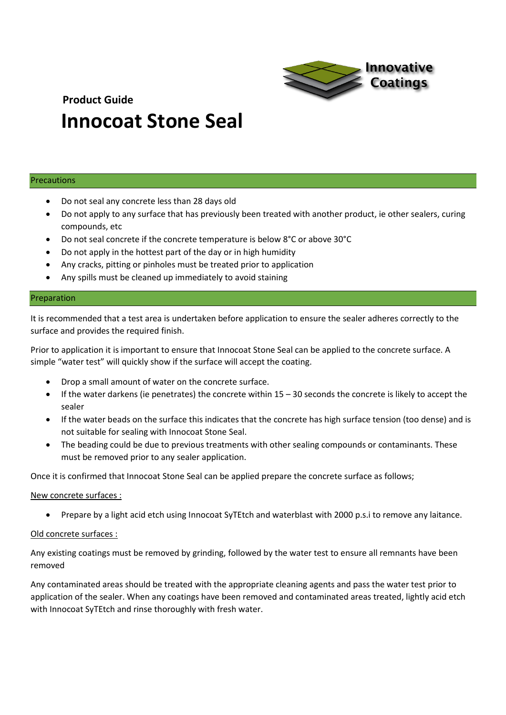

## Precautions

- Do not seal any concrete less than 28 days old
- Do not apply to any surface that has previously been treated with another product, ie other sealers, curing compounds, etc
- Do not seal concrete if the concrete temperature is below 8°C or above 30°C
- Do not apply in the hottest part of the day or in high humidity
- Any cracks, pitting or pinholes must be treated prior to application
- Any spills must be cleaned up immediately to avoid staining

#### Preparation

It is recommended that a test area is undertaken before application to ensure the sealer adheres correctly to the surface and provides the required finish.

Prior to application it is important to ensure that Innocoat Stone Seal can be applied to the concrete surface. A simple "water test" will quickly show if the surface will accept the coating.

- Drop a small amount of water on the concrete surface.
- If the water darkens (ie penetrates) the concrete within 15 30 seconds the concrete is likely to accept the sealer
- If the water beads on the surface this indicates that the concrete has high surface tension (too dense) and is not suitable for sealing with Innocoat Stone Seal.
- The beading could be due to previous treatments with other sealing compounds or contaminants. These must be removed prior to any sealer application.

Once it is confirmed that Innocoat Stone Seal can be applied prepare the concrete surface as follows;

#### New concrete surfaces :

• Prepare by a light acid etch using Innocoat SyTEtch and waterblast with 2000 p.s.i to remove any laitance.

#### Old concrete surfaces :

Any existing coatings must be removed by grinding, followed by the water test to ensure all remnants have been removed

Any contaminated areas should be treated with the appropriate cleaning agents and pass the water test prior to application of the sealer. When any coatings have been removed and contaminated areas treated, lightly acid etch with Innocoat SyTEtch and rinse thoroughly with fresh water.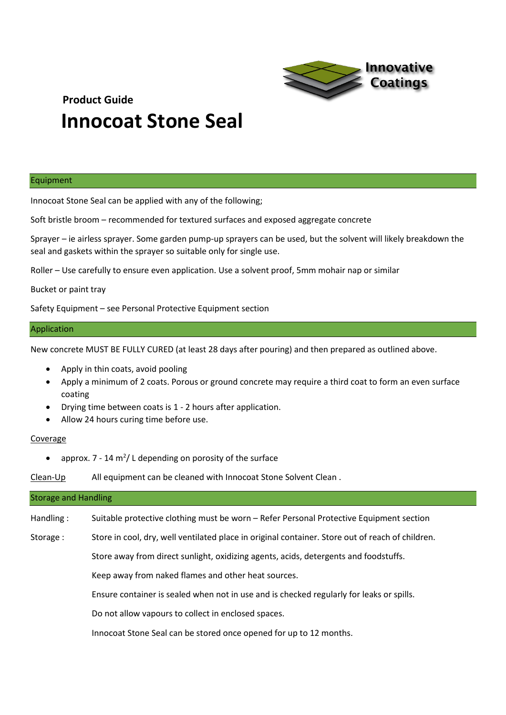

#### Equipment

Innocoat Stone Seal can be applied with any of the following;

Soft bristle broom – recommended for textured surfaces and exposed aggregate concrete

Sprayer – ie airless sprayer. Some garden pump-up sprayers can be used, but the solvent will likely breakdown the seal and gaskets within the sprayer so suitable only for single use.

Roller – Use carefully to ensure even application. Use a solvent proof, 5mm mohair nap or similar

Bucket or paint tray

Safety Equipment – see Personal Protective Equipment section

## Application

New concrete MUST BE FULLY CURED (at least 28 days after pouring) and then prepared as outlined above.

- Apply in thin coats, avoid pooling
- Apply a minimum of 2 coats. Porous or ground concrete may require a third coat to form an even surface coating
- Drying time between coats is 1 2 hours after application.
- Allow 24 hours curing time before use.

## **Coverage**

• approx.  $7 - 14$  m<sup>2</sup>/L depending on porosity of the surface

Clean-Up All equipment can be cleaned with Innocoat Stone Solvent Clean.

| <b>Storage and Handling</b> |                                                                                                  |  |
|-----------------------------|--------------------------------------------------------------------------------------------------|--|
| Handling:                   | Suitable protective clothing must be worn - Refer Personal Protective Equipment section          |  |
| Storage:                    | Store in cool, dry, well ventilated place in original container. Store out of reach of children. |  |
|                             | Store away from direct sunlight, oxidizing agents, acids, detergents and foodstuffs.             |  |
|                             | Keep away from naked flames and other heat sources.                                              |  |
|                             | Ensure container is sealed when not in use and is checked regularly for leaks or spills.         |  |
|                             | Do not allow vapours to collect in enclosed spaces.                                              |  |
|                             | Innocoat Stone Seal can be stored once opened for up to 12 months.                               |  |
|                             |                                                                                                  |  |